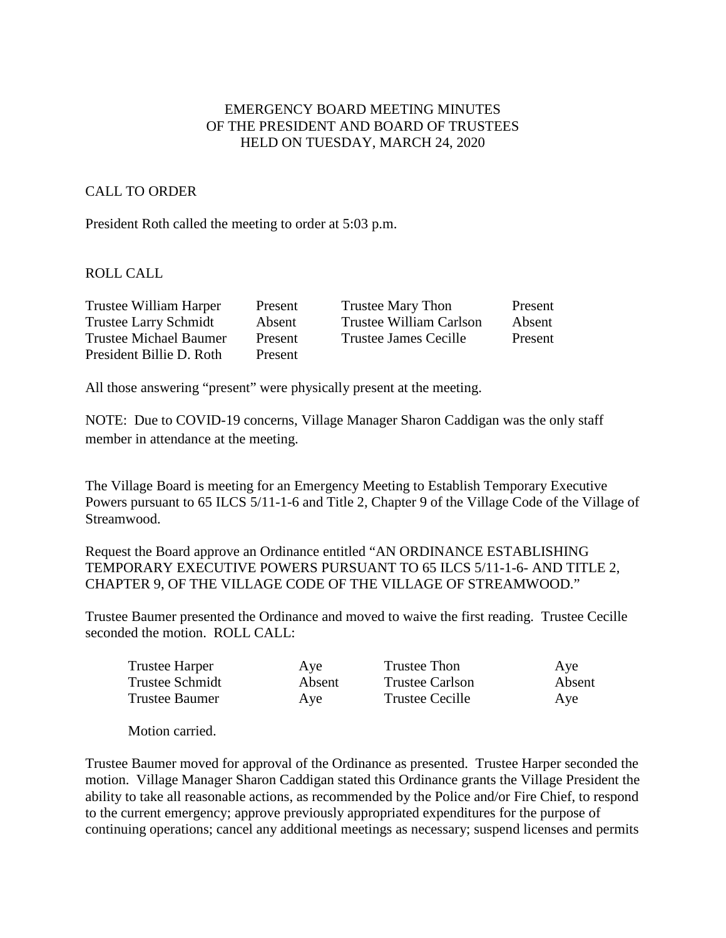## EMERGENCY BOARD MEETING MINUTES OF THE PRESIDENT AND BOARD OF TRUSTEES HELD ON TUESDAY, MARCH 24, 2020

## CALL TO ORDER

President Roth called the meeting to order at 5:03 p.m.

## ROLL CALL

| Trustee William Harper       | Present | Trustee Mary Thon       | Present |
|------------------------------|---------|-------------------------|---------|
| <b>Trustee Larry Schmidt</b> | Absent  | Trustee William Carlson | Absent  |
| Trustee Michael Baumer       | Present | Trustee James Cecille   | Present |
| President Billie D. Roth     | Present |                         |         |

All those answering "present" were physically present at the meeting.

NOTE: Due to COVID-19 concerns, Village Manager Sharon Caddigan was the only staff member in attendance at the meeting.

The Village Board is meeting for an Emergency Meeting to Establish Temporary Executive Powers pursuant to 65 ILCS 5/11-1-6 and Title 2, Chapter 9 of the Village Code of the Village of Streamwood.

Request the Board approve an Ordinance entitled "AN ORDINANCE ESTABLISHING TEMPORARY EXECUTIVE POWERS PURSUANT TO 65 ILCS 5/11-1-6- AND TITLE 2, CHAPTER 9, OF THE VILLAGE CODE OF THE VILLAGE OF STREAMWOOD."

Trustee Baumer presented the Ordinance and moved to waive the first reading. Trustee Cecille seconded the motion. ROLL CALL:

| Trustee Harper  | Aye    | Trustee Thon           | Aye    |
|-----------------|--------|------------------------|--------|
| Trustee Schmidt | Absent | Trustee Carlson        | Absent |
| Trustee Baumer  | Aye    | <b>Trustee Cecille</b> | Aye    |

Motion carried.

Trustee Baumer moved for approval of the Ordinance as presented. Trustee Harper seconded the motion. Village Manager Sharon Caddigan stated this Ordinance grants the Village President the ability to take all reasonable actions, as recommended by the Police and/or Fire Chief, to respond to the current emergency; approve previously appropriated expenditures for the purpose of continuing operations; cancel any additional meetings as necessary; suspend licenses and permits